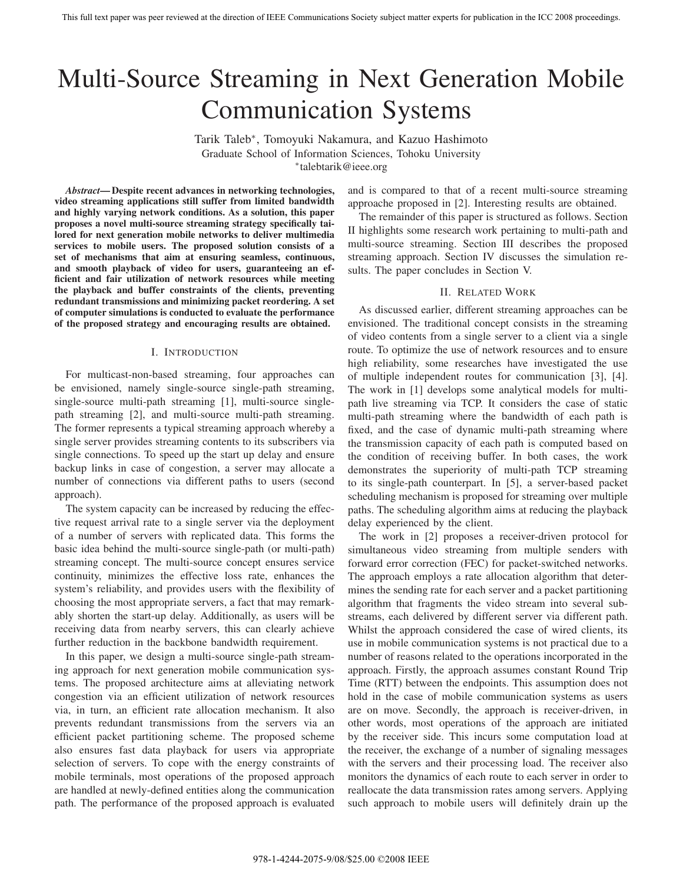# Multi-Source Streaming in Next Generation Mobile Communication Systems

Tarik Taleb∗, Tomoyuki Nakamura, and Kazuo Hashimoto Graduate School of Information Sciences, Tohoku University ∗talebtarik@ieee.org

*Abstract***— Despite recent advances in networking technologies, video streaming applications still suffer from limited bandwidth and highly varying network conditions. As a solution, this paper proposes a novel multi-source streaming strategy specifically tailored for next generation mobile networks to deliver multimedia services to mobile users. The proposed solution consists of a set of mechanisms that aim at ensuring seamless, continuous, and smooth playback of video for users, guaranteeing an efficient and fair utilization of network resources while meeting the playback and buffer constraints of the clients, preventing redundant transmissions and minimizing packet reordering. A set of computer simulations is conducted to evaluate the performance of the proposed strategy and encouraging results are obtained.**

## I. INTRODUCTION

For multicast-non-based streaming, four approaches can be envisioned, namely single-source single-path streaming, single-source multi-path streaming [1], multi-source singlepath streaming [2], and multi-source multi-path streaming. The former represents a typical streaming approach whereby a single server provides streaming contents to its subscribers via single connections. To speed up the start up delay and ensure backup links in case of congestion, a server may allocate a number of connections via different paths to users (second approach).

The system capacity can be increased by reducing the effective request arrival rate to a single server via the deployment of a number of servers with replicated data. This forms the basic idea behind the multi-source single-path (or multi-path) streaming concept. The multi-source concept ensures service continuity, minimizes the effective loss rate, enhances the system's reliability, and provides users with the flexibility of choosing the most appropriate servers, a fact that may remarkably shorten the start-up delay. Additionally, as users will be receiving data from nearby servers, this can clearly achieve further reduction in the backbone bandwidth requirement.

In this paper, we design a multi-source single-path streaming approach for next generation mobile communication systems. The proposed architecture aims at alleviating network congestion via an efficient utilization of network resources via, in turn, an efficient rate allocation mechanism. It also prevents redundant transmissions from the servers via an efficient packet partitioning scheme. The proposed scheme also ensures fast data playback for users via appropriate selection of servers. To cope with the energy constraints of mobile terminals, most operations of the proposed approach are handled at newly-defined entities along the communication path. The performance of the proposed approach is evaluated

and is compared to that of a recent multi-source streaming approache proposed in [2]. Interesting results are obtained.

The remainder of this paper is structured as follows. Section II highlights some research work pertaining to multi-path and multi-source streaming. Section III describes the proposed streaming approach. Section IV discusses the simulation results. The paper concludes in Section V.

# II. RELATED WORK

As discussed earlier, different streaming approaches can be envisioned. The traditional concept consists in the streaming of video contents from a single server to a client via a single route. To optimize the use of network resources and to ensure high reliability, some researches have investigated the use of multiple independent routes for communication [3], [4]. The work in [1] develops some analytical models for multipath live streaming via TCP. It considers the case of static multi-path streaming where the bandwidth of each path is fixed, and the case of dynamic multi-path streaming where the transmission capacity of each path is computed based on the condition of receiving buffer. In both cases, the work demonstrates the superiority of multi-path TCP streaming to its single-path counterpart. In [5], a server-based packet scheduling mechanism is proposed for streaming over multiple paths. The scheduling algorithm aims at reducing the playback delay experienced by the client.

The work in [2] proposes a receiver-driven protocol for simultaneous video streaming from multiple senders with forward error correction (FEC) for packet-switched networks. The approach employs a rate allocation algorithm that determines the sending rate for each server and a packet partitioning algorithm that fragments the video stream into several substreams, each delivered by different server via different path. Whilst the approach considered the case of wired clients, its use in mobile communication systems is not practical due to a number of reasons related to the operations incorporated in the approach. Firstly, the approach assumes constant Round Trip Time (RTT) between the endpoints. This assumption does not hold in the case of mobile communication systems as users are on move. Secondly, the approach is receiver-driven, in other words, most operations of the approach are initiated by the receiver side. This incurs some computation load at the receiver, the exchange of a number of signaling messages with the servers and their processing load. The receiver also monitors the dynamics of each route to each server in order to reallocate the data transmission rates among servers. Applying such approach to mobile users will definitely drain up the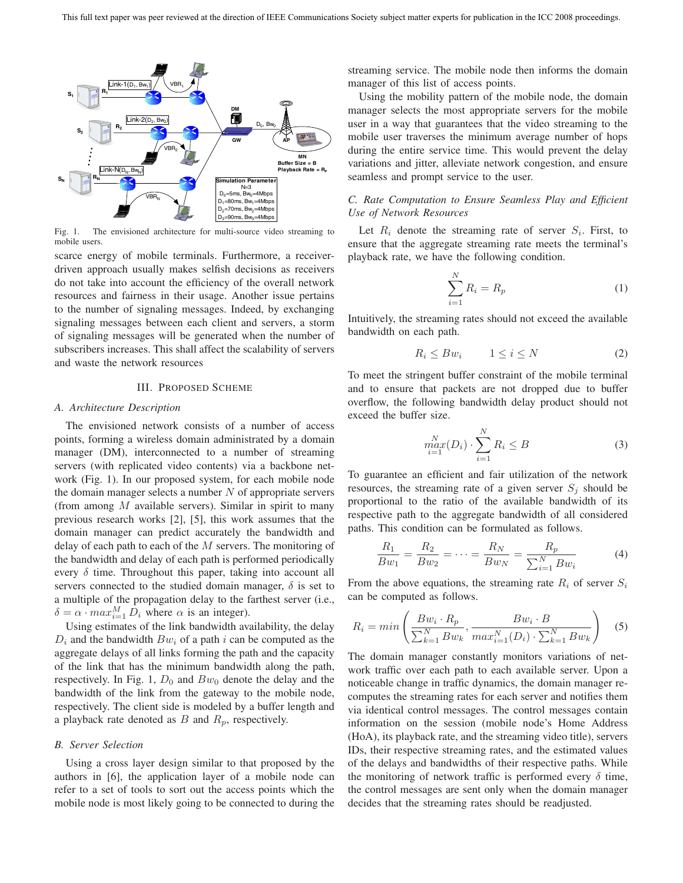

Fig. 1. The envisioned architecture for multi-source video streaming to mobile users.

scarce energy of mobile terminals. Furthermore, a receiverdriven approach usually makes selfish decisions as receivers do not take into account the efficiency of the overall network resources and fairness in their usage. Another issue pertains to the number of signaling messages. Indeed, by exchanging signaling messages between each client and servers, a storm of signaling messages will be generated when the number of subscribers increases. This shall affect the scalability of servers and waste the network resources

#### III. PROPOSED SCHEME

#### *A. Architecture Description*

The envisioned network consists of a number of access points, forming a wireless domain administrated by a domain manager (DM), interconnected to a number of streaming servers (with replicated video contents) via a backbone network (Fig. 1). In our proposed system, for each mobile node the domain manager selects a number  $N$  of appropriate servers (from among  $M$  available servers). Similar in spirit to many previous research works [2], [5], this work assumes that the domain manager can predict accurately the bandwidth and delay of each path to each of the  $M$  servers. The monitoring of the bandwidth and delay of each path is performed periodically every  $\delta$  time. Throughout this paper, taking into account all servers connected to the studied domain manager,  $\delta$  is set to a multiple of the propagation delay to the farthest server (i.e.,  $\delta = \alpha \cdot max_{i=1}^{M} D_i$  where  $\alpha$  is an integer).

Using estimates of the link bandwidth availability, the delay  $D_i$  and the bandwidth  $Bw_i$  of a path i can be computed as the aggregate delays of all links forming the path and the capacity of the link that has the minimum bandwidth along the path, respectively. In Fig. 1,  $D_0$  and  $Bw_0$  denote the delay and the bandwidth of the link from the gateway to the mobile node, respectively. The client side is modeled by a buffer length and a playback rate denoted as  $B$  and  $R_p$ , respectively.

# *B. Server Selection*

Using a cross layer design similar to that proposed by the authors in [6], the application layer of a mobile node can refer to a set of tools to sort out the access points which the mobile node is most likely going to be connected to during the streaming service. The mobile node then informs the domain manager of this list of access points.

Using the mobility pattern of the mobile node, the domain manager selects the most appropriate servers for the mobile user in a way that guarantees that the video streaming to the mobile user traverses the minimum average number of hops during the entire service time. This would prevent the delay variations and jitter, alleviate network congestion, and ensure seamless and prompt service to the user.

# *C. Rate Computation to Ensure Seamless Play and Efficient Use of Network Resources*

Let  $R_i$  denote the streaming rate of server  $S_i$ . First, to ensure that the aggregate streaming rate meets the terminal's playback rate, we have the following condition.

$$
\sum_{i=1}^{N} R_i = R_p \tag{1}
$$

Intuitively, the streaming rates should not exceed the available bandwidth on each path.

$$
R_i \le B w_i \qquad 1 \le i \le N \tag{2}
$$

To meet the stringent buffer constraint of the mobile terminal and to ensure that packets are not dropped due to buffer overflow, the following bandwidth delay product should not exceed the buffer size.

$$
\max_{i=1}^{N}(D_i) \cdot \sum_{i=1}^{N} R_i \le B \tag{3}
$$

To guarantee an efficient and fair utilization of the network resources, the streaming rate of a given server  $S_i$  should be proportional to the ratio of the available bandwidth of its respective path to the aggregate bandwidth of all considered paths. This condition can be formulated as follows.

$$
\frac{R_1}{Bw_1} = \frac{R_2}{Bw_2} = \dots = \frac{R_N}{Bw_N} = \frac{R_p}{\sum_{i=1}^N Bw_i}
$$
(4)

From the above equations, the streaming rate  $R_i$  of server  $S_i$ can be computed as follows.

$$
R_i = min\left(\frac{Bw_i \cdot R_p}{\sum_{k=1}^N Bw_k}, \frac{Bw_i \cdot B}{max_{i=1}^N (D_i) \cdot \sum_{k=1}^N Bw_k}\right) \quad (5)
$$

The domain manager constantly monitors variations of network traffic over each path to each available server. Upon a noticeable change in traffic dynamics, the domain manager recomputes the streaming rates for each server and notifies them via identical control messages. The control messages contain information on the session (mobile node's Home Address (HoA), its playback rate, and the streaming video title), servers IDs, their respective streaming rates, and the estimated values of the delays and bandwidths of their respective paths. While the monitoring of network traffic is performed every  $\delta$  time, the control messages are sent only when the domain manager decides that the streaming rates should be readjusted.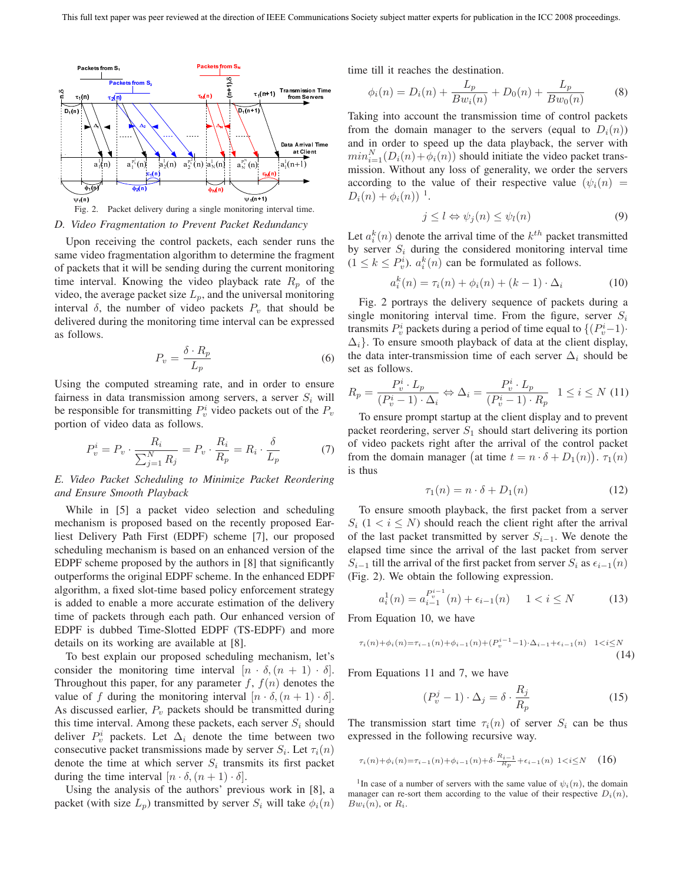

#### *D. Video Fragmentation to Prevent Packet Redundancy*

 $\frac{d}{a_1^1(n+1)}$ <br>
arclient<br>
arrival time.<br>
dancy<br>
ler runs the fragmer<br>
the fragmer<br>
monitorin<br>  $R_p$  of the monitorin<br>
t should be expresse<br>
((<br>
er to ensur<br>
rver  $S_i$  wi<br>
ut of the F  $\begin{array}{c}\n\text{then} \\
\text{if the } n \text{ is the same,} \\
\text{if the } n \text{ is the same,} \\
\text{if the } n \text{ is the same,} \\
\text{if the } n \text{ is the same,} \\
\text{if the } n \text{ is the same,} \\
\text{if the } n \text{ is the same,} \\
\text{if the } n \text{ is the same,} \\
\text{if the } n \text{ is the same,} \\
\text{if the } n \text{ is the same,} \\
\text{if the } n \text{ is the same,} \\
\text{if the } n \text{ is the same,} \\
\text{if the } n \text{ is the same,} \\
\text{if the } n \text{ is the same,$ Upon receiving the control packets, each sender runs the same video fragmentation algorithm to determine the fragment of packets that it will be sending during the current monitoring time interval. Knowing the video playback rate  $R_p$  of the video, the average packet size  $L_p$ , and the universal monitoring interval  $\delta$ , the number of video packets  $P_v$  that should be delivered during the monitoring time interval can be expressed as follows.

$$
P_v = \frac{\delta \cdot R_p}{L_p} \tag{6}
$$

Using the computed streaming rate, and in order to ensure fairness in data transmission among servers, a server  $S_i$  will be responsible for transmitting  $P_v^i$  video packets out of the  $P_v$ portion of video data as follows.

$$
P_v^i = P_v \cdot \frac{R_i}{\sum_{j=1}^N R_j} = P_v \cdot \frac{R_i}{R_p} = R_i \cdot \frac{\delta}{L_p} \tag{7}
$$

# *E. Video Packet Scheduling to Minimize Packet Reordering and Ensure Smooth Playback*

While in [5] a packet video selection and scheduling mechanism is proposed based on the recently proposed Earliest Delivery Path First (EDPF) scheme [7], our proposed scheduling mechanism is based on an enhanced version of the EDPF scheme proposed by the authors in [8] that significantly outperforms the original EDPF scheme. In the enhanced EDPF algorithm, a fixed slot-time based policy enforcement strategy is added to enable a more accurate estimation of the delivery time of packets through each path. Our enhanced version of EDPF is dubbed Time-Slotted EDPF (TS-EDPF) and more details on its working are available at [8].

To best explain our proposed scheduling mechanism, let's consider the monitoring time interval  $[n \cdot \delta, (n + 1) \cdot \delta]$ . Throughout this paper, for any parameter  $f, f(n)$  denotes the value of f during the monitoring interval  $[n \cdot \delta, (n+1) \cdot \delta]$ . As discussed earlier,  $P_v$  packets should be transmitted during this time interval. Among these packets, each server  $S_i$  should deliver  $P_v^i$  packets. Let  $\Delta_i$  denote the time between two consecutive packet transmissions made by server  $S_i$ . Let  $\tau_i(n)$ denote the time at which server  $S_i$  transmits its first packet during the time interval  $[n \cdot \delta, (n+1) \cdot \delta]$ .

Using the analysis of the authors' previous work in [8], a packet (with size  $L_p$ ) transmitted by server  $S_i$  will take  $\phi_i(n)$  time till it reaches the destination.

$$
\phi_i(n) = D_i(n) + \frac{L_p}{B w_i(n)} + D_0(n) + \frac{L_p}{B w_0(n)}
$$
(8)

Taking into account the transmission time of control packets from the domain manager to the servers (equal to  $D_i(n)$ ) and in order to speed up the data playback, the server with  $min_{i=1}^{N}(D_i(n) + \phi_i(n))$  should initiate the video packet transmission. Without any loss of generality, we order the servers according to the value of their respective value  $(\psi_i(n))$  $D_i(n) + \phi_i(n)$ <sup>1</sup>.

$$
j \le l \Leftrightarrow \psi_j(n) \le \psi_l(n) \tag{9}
$$

Let  $a_i^k(n)$  denote the arrival time of the  $k^{th}$  packet transmitted by server  $S_i$  during the considered monitoring interval time  $(1 \leq k \leq P_v^i)$ .  $a_i^k(n)$  can be formulated as follows.

$$
a_i^k(n) = \tau_i(n) + \phi_i(n) + (k - 1) \cdot \Delta_i \tag{10}
$$

Fig. 2 portrays the delivery sequence of packets during a single monitoring interval time. From the figure, server  $S_i$ transmits  $P_v^i$  packets during a period of time equal to  $\{ (P_v^i-1) \cdot$  $\Delta_i$ }. To ensure smooth playback of data at the client display, the data inter-transmission time of each server  $\Delta_i$  should be set as follows.

$$
R_p = \frac{P_v^i \cdot L_p}{(P_v^i - 1) \cdot \Delta_i} \Leftrightarrow \Delta_i = \frac{P_v^i \cdot L_p}{(P_v^i - 1) \cdot R_p} \quad 1 \le i \le N \tag{11}
$$

To ensure prompt startup at the client display and to prevent packet reordering, server  $S_1$  should start delivering its portion of video packets right after the arrival of the control packet from the domain manager (at time  $t = n \cdot \delta + D_1(n)$ ).  $\tau_1(n)$ is thus

$$
\tau_1(n) = n \cdot \delta + D_1(n) \tag{12}
$$

To ensure smooth playback, the first packet from a server  $S_i$  (1 < i < N) should reach the client right after the arrival of the last packet transmitted by server  $S_{i-1}$ . We denote the elapsed time since the arrival of the last packet from server  $S_{i-1}$  till the arrival of the first packet from server  $S_i$  as  $\epsilon_{i-1}(n)$ (Fig. 2). We obtain the following expression.

$$
a_i^1(n) = a_{i-1}^{P_v^{i-1}}(n) + \epsilon_{i-1}(n) \quad 1 < i \le N \tag{13}
$$

From Equation 10, we have

$$
\tau_i(n) + \phi_i(n) = \tau_{i-1}(n) + \phi_{i-1}(n) + (P_v^{i-1} - 1) \cdot \Delta_{i-1} + \epsilon_{i-1}(n) \quad 1 < i \le N \tag{14}
$$

From Equations 11 and 7, we have

$$
(P_v^j - 1) \cdot \Delta_j = \delta \cdot \frac{R_j}{R_p} \tag{15}
$$

The transmission start time  $\tau_i(n)$  of server  $S_i$  can be thus expressed in the following recursive way.

$$
\tau_i(n) + \phi_i(n) = \tau_{i-1}(n) + \phi_{i-1}(n) + \delta \cdot \frac{R_{i-1}}{R_p} + \epsilon_{i-1}(n) \quad 1 < i \le N \tag{16}
$$

<sup>&</sup>lt;sup>1</sup>In case of a number of servers with the same value of  $\psi_i(n)$ , the domain manager can re-sort them according to the value of their respective  $D_i(n)$ ,  $Bw_i(n)$ , or  $R_i$ .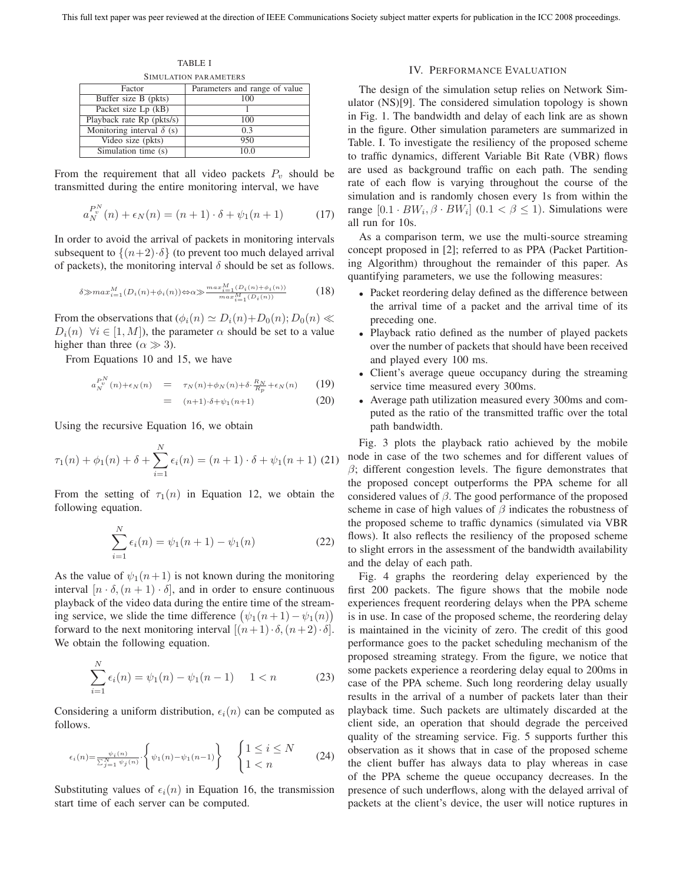| Factor                                | Parameters and range of value |
|---------------------------------------|-------------------------------|
| Buffer size B (pkts)                  | 100                           |
| Packet size $Lp$ (kB)                 |                               |
| Playback rate Rp (pkts/s)             | 100                           |
| Monitoring interval $\delta$ (s)      | 0.3                           |
| $\overline{\text{Video}}$ size (pkts) | 950                           |
| Simulation time (s)                   | 10 0                          |

TABLE I SIMULATION PARAMETERS

From the requirement that all video packets  $P_v$  should be transmitted during the entire monitoring interval, we have

$$
a_N^{P_v^N}(n) + \epsilon_N(n) = (n+1) \cdot \delta + \psi_1(n+1)
$$
 (17)

In order to avoid the arrival of packets in monitoring intervals subsequent to  $\{(n+2)\cdot\delta\}$  (to prevent too much delayed arrival of packets), the monitoring interval  $\delta$  should be set as follows.

$$
\delta \gg \max_{i=1}^{M} (D_i(n) + \phi_i(n)) \Leftrightarrow \alpha \gg \frac{\max_{i=1}^{M} (D_i(n) + \phi_i(n))}{\max_{i=1}^{M} (D_i(n))}
$$
(18)

From the observations that  $(\phi_i(n) \simeq D_i(n)+D_0(n); D_0(n) \ll$  $D_i(n)$   $\forall i \in [1, M]$ , the parameter  $\alpha$  should be set to a value higher than three ( $\alpha \gg 3$ ).

From Equations 10 and 15, we have

$$
a_N^{P_v^N}(n) + \epsilon_N(n) = \tau_N(n) + \phi_N(n) + \delta \cdot \frac{R_N}{R_p} + \epsilon_N(n) \qquad (19)
$$

$$
= (n+1)\cdot \delta + \psi_1(n+1) \tag{20}
$$

Using the recursive Equation 16, we obtain

$$
\tau_1(n) + \phi_1(n) + \delta + \sum_{i=1}^N \epsilon_i(n) = (n+1) \cdot \delta + \psi_1(n+1)
$$
 (21)

From the setting of  $\tau_1(n)$  in Equation 12, we obtain the following equation.

$$
\sum_{i=1}^{N} \epsilon_i(n) = \psi_1(n+1) - \psi_1(n)
$$
 (22)

As the value of  $\psi_1(n+1)$  is not known during the monitoring interval  $[n \cdot \delta, (n+1) \cdot \delta]$ , and in order to ensure continuous playback of the video data during the entire time of the streaming service, we slide the time difference  $(\psi_1(n+1) - \psi_1(n))$ forward to the next monitoring interval  $[(n+1)\cdot\delta,(n+2)\cdot\delta]$ . We obtain the following equation.

$$
\sum_{i=1}^{N} \epsilon_i(n) = \psi_1(n) - \psi_1(n-1) \quad 1 < n \tag{23}
$$

Considering a uniform distribution,  $\epsilon_i(n)$  can be computed as follows.

$$
\epsilon_i(n) = \frac{\psi_i(n)}{\sum_{j=1}^N \psi_j(n)} \cdot \left\{ \psi_1(n) - \psi_1(n-1) \right\} \quad \begin{cases} 1 \le i \le N \\ 1 < n \end{cases} \tag{24}
$$

Substituting values of  $\epsilon_i(n)$  in Equation 16, the transmission start time of each server can be computed.

## IV. PERFORMANCE EVALUATION

The design of the simulation setup relies on Network Simulator (NS)[9]. The considered simulation topology is shown in Fig. 1. The bandwidth and delay of each link are as shown in the figure. Other simulation parameters are summarized in Table. I. To investigate the resiliency of the proposed scheme to traffic dynamics, different Variable Bit Rate (VBR) flows are used as background traffic on each path. The sending rate of each flow is varying throughout the course of the simulation and is randomly chosen every 1s from within the range  $[0.1 \cdot BW_i, \beta \cdot BW_i]$   $(0.1 < \beta \le 1)$ . Simulations were all run for 10s.

As a comparison term, we use the multi-source streaming concept proposed in [2]; referred to as PPA (Packet Partitioning Algorithm) throughout the remainder of this paper. As quantifying parameters, we use the following measures:

- Packet reordering delay defined as the difference between the arrival time of a packet and the arrival time of its preceding one.
- Playback ratio defined as the number of played packets over the number of packets that should have been received and played every 100 ms.
- Client's average queue occupancy during the streaming service time measured every 300ms.
- Average path utilization measured every 300ms and computed as the ratio of the transmitted traffic over the total path bandwidth.

Fig. 3 plots the playback ratio achieved by the mobile node in case of the two schemes and for different values of  $\beta$ ; different congestion levels. The figure demonstrates that the proposed concept outperforms the PPA scheme for all considered values of  $\beta$ . The good performance of the proposed scheme in case of high values of  $\beta$  indicates the robustness of the proposed scheme to traffic dynamics (simulated via VBR flows). It also reflects the resiliency of the proposed scheme to slight errors in the assessment of the bandwidth availability and the delay of each path.

Fig. 4 graphs the reordering delay experienced by the first 200 packets. The figure shows that the mobile node experiences frequent reordering delays when the PPA scheme is in use. In case of the proposed scheme, the reordering delay is maintained in the vicinity of zero. The credit of this good performance goes to the packet scheduling mechanism of the proposed streaming strategy. From the figure, we notice that some packets experience a reordering delay equal to 200ms in case of the PPA scheme. Such long reordering delay usually results in the arrival of a number of packets later than their playback time. Such packets are ultimately discarded at the client side, an operation that should degrade the perceived quality of the streaming service. Fig. 5 supports further this observation as it shows that in case of the proposed scheme the client buffer has always data to play whereas in case of the PPA scheme the queue occupancy decreases. In the presence of such underflows, along with the delayed arrival of packets at the client's device, the user will notice ruptures in